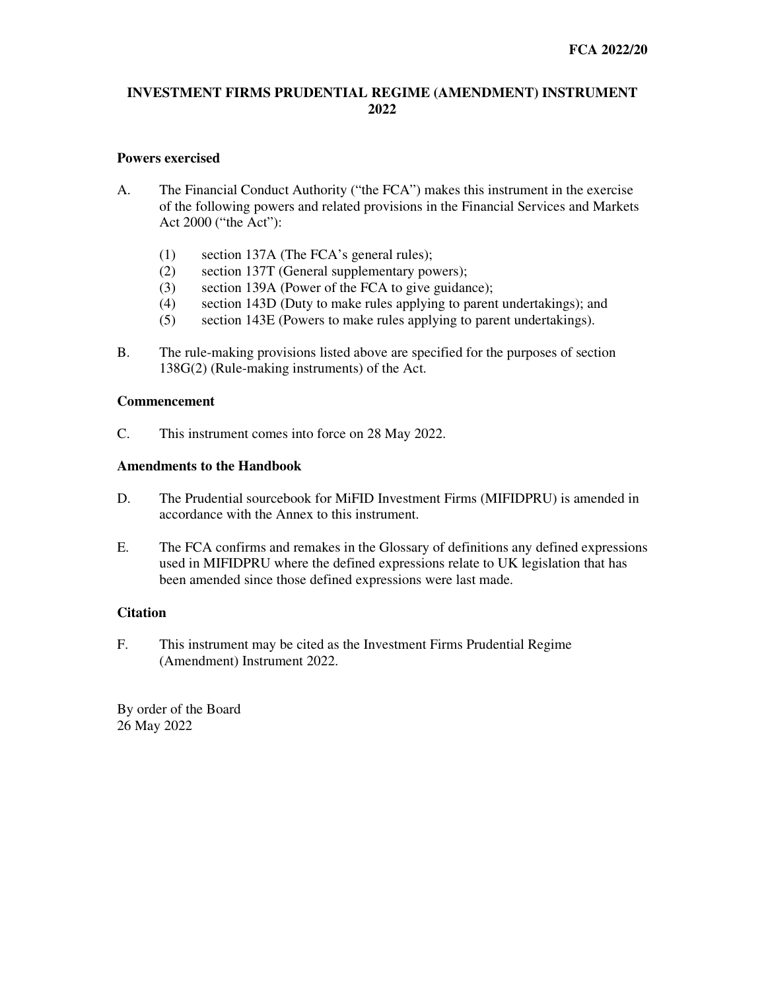## **INVESTMENT FIRMS PRUDENTIAL REGIME (AMENDMENT) INSTRUMENT 2022**

## **Powers exercised**

- A. The Financial Conduct Authority ("the FCA") makes this instrument in the exercise of the following powers and related provisions in the Financial Services and Markets Act 2000 ("the Act"):
	- (1) section 137A (The FCA's general rules);
	- (2) section 137T (General supplementary powers);
	- (3) section 139A (Power of the FCA to give guidance);
	- (4) section 143D (Duty to make rules applying to parent undertakings); and
	- (5) section 143E (Powers to make rules applying to parent undertakings).
- B. The rule-making provisions listed above are specified for the purposes of section 138G(2) (Rule-making instruments) of the Act.

## **Commencement**

C. This instrument comes into force on 28 May 2022.

#### **Amendments to the Handbook**

- D. The Prudential sourcebook for MiFID Investment Firms (MIFIDPRU) is amended in accordance with the Annex to this instrument.
- E. The FCA confirms and remakes in the Glossary of definitions any defined expressions used in MIFIDPRU where the defined expressions relate to UK legislation that has been amended since those defined expressions were last made.

## **Citation**

F. This instrument may be cited as the Investment Firms Prudential Regime (Amendment) Instrument 2022.

By order of the Board 26 May 2022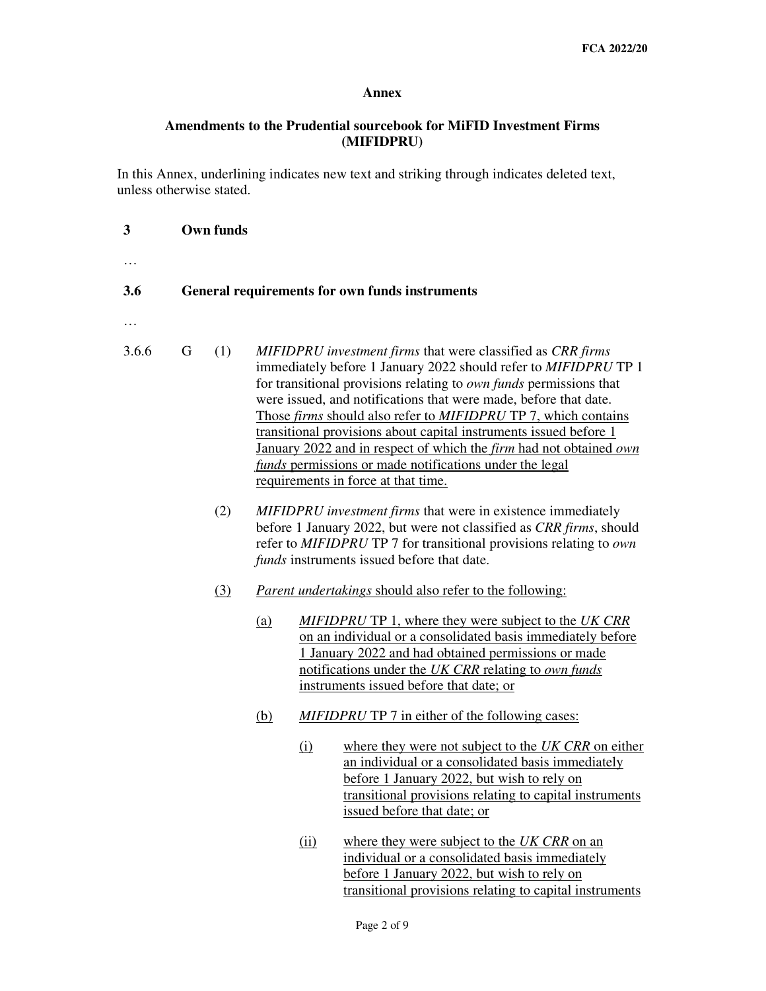## **Annex**

# **Amendments to the Prudential sourcebook for MiFID Investment Firms (MIFIDPRU)**

In this Annex, underlining indicates new text and striking through indicates deleted text, unless otherwise stated.

**3 Own funds** 

| .        |                                                |     |                                                                                                                                                                                                                                                         |                                                                                                                                                                                                                                                                                                                                                                                                                                                                                                                                                                                         |  |  |
|----------|------------------------------------------------|-----|---------------------------------------------------------------------------------------------------------------------------------------------------------------------------------------------------------------------------------------------------------|-----------------------------------------------------------------------------------------------------------------------------------------------------------------------------------------------------------------------------------------------------------------------------------------------------------------------------------------------------------------------------------------------------------------------------------------------------------------------------------------------------------------------------------------------------------------------------------------|--|--|
| 3.6      | General requirements for own funds instruments |     |                                                                                                                                                                                                                                                         |                                                                                                                                                                                                                                                                                                                                                                                                                                                                                                                                                                                         |  |  |
| $\cdots$ |                                                |     |                                                                                                                                                                                                                                                         |                                                                                                                                                                                                                                                                                                                                                                                                                                                                                                                                                                                         |  |  |
| 3.6.6    | G                                              | (1) |                                                                                                                                                                                                                                                         | MIFIDPRU investment firms that were classified as CRR firms<br>immediately before 1 January 2022 should refer to MIFIDPRU TP 1<br>for transitional provisions relating to own funds permissions that<br>were issued, and notifications that were made, before that date.<br>Those firms should also refer to MIFIDPRU TP 7, which contains<br>transitional provisions about capital instruments issued before 1<br>January 2022 and in respect of which the firm had not obtained own<br>funds permissions or made notifications under the legal<br>requirements in force at that time. |  |  |
|          |                                                | (2) | MIFIDPRU investment firms that were in existence immediately<br>before 1 January 2022, but were not classified as CRR firms, should<br>refer to MIFIDPRU TP 7 for transitional provisions relating to own<br>funds instruments issued before that date. |                                                                                                                                                                                                                                                                                                                                                                                                                                                                                                                                                                                         |  |  |
|          |                                                | (3) |                                                                                                                                                                                                                                                         | <i>Parent undertakings should also refer to the following:</i>                                                                                                                                                                                                                                                                                                                                                                                                                                                                                                                          |  |  |
|          |                                                |     | (a)                                                                                                                                                                                                                                                     | <b>MIFIDPRU TP 1, where they were subject to the UK CRR</b><br>on an individual or a consolidated basis immediately before<br>1 January 2022 and had obtained permissions or made<br>notifications under the UK CRR relating to own funds<br>instruments issued before that date; or                                                                                                                                                                                                                                                                                                    |  |  |
|          |                                                |     | (b)                                                                                                                                                                                                                                                     | <b>MIFIDPRU TP 7</b> in either of the following cases:                                                                                                                                                                                                                                                                                                                                                                                                                                                                                                                                  |  |  |
|          |                                                |     |                                                                                                                                                                                                                                                         | where they were not subject to the UK CRR on either<br>(i)<br>an individual or a consolidated basis immediately<br>before 1 January 2022, but wish to rely on<br>transitional provisions relating to capital instruments<br>issued before that date; or                                                                                                                                                                                                                                                                                                                                 |  |  |
|          |                                                |     |                                                                                                                                                                                                                                                         | where they were subject to the UK CRR on an<br>(ii)<br>individual or a consolidated basis immediately<br>before 1 January 2022, but wish to rely on<br>transitional provisions relating to capital instruments                                                                                                                                                                                                                                                                                                                                                                          |  |  |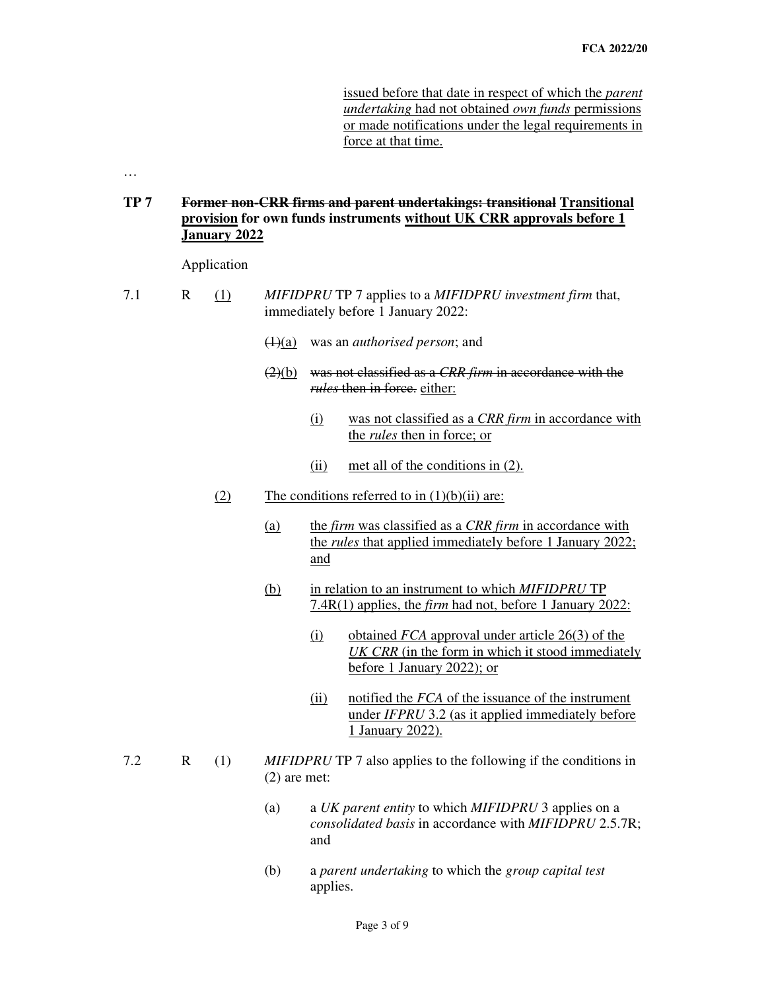issued before that date in respect of which the *parent undertaking* had not obtained *own funds* permissions or made notifications under the legal requirements in force at that time.

…

**TP 7 Former non-CRR firms and parent undertakings: transitional Transitional provision for own funds instruments without UK CRR approvals before 1 January 2022** 

Application

- 7.1 R (1) *MIFIDPRU* TP 7 applies to a *MIFIDPRU investment firm* that, immediately before 1 January 2022:
	- (1)(a) was an *authorised person*; and
	- (2)(b) was not classified as a *CRR firm* in accordance with the *rules* then in force. either:
		- (i) was not classified as a *CRR firm* in accordance with the *rules* then in force; or
		- (ii) met all of the conditions in (2).
	- (2) The conditions referred to in  $(1)(b)(ii)$  are:
		- (a) the *firm* was classified as a *CRR firm* in accordance with the *rules* that applied immediately before 1 January 2022; and
		- (b) in relation to an instrument to which *MIFIDPRU* TP 7.4R(1) applies, the *firm* had not, before 1 January 2022:
			- (i) obtained *FCA* approval under article 26(3) of the *UK CRR* (in the form in which it stood immediately before 1 January 2022); or
			- (ii) notified the *FCA* of the issuance of the instrument under *IFPRU* 3.2 (as it applied immediately before 1 January 2022).
- 7.2 R (1) *MIFIDPRU* TP 7 also applies to the following if the conditions in (2) are met:
	- (a) a *UK parent entity* to which *MIFIDPRU* 3 applies on a *consolidated basis* in accordance with *MIFIDPRU* 2.5.7R; and
	- (b) a *parent undertaking* to which the *group capital test*  applies.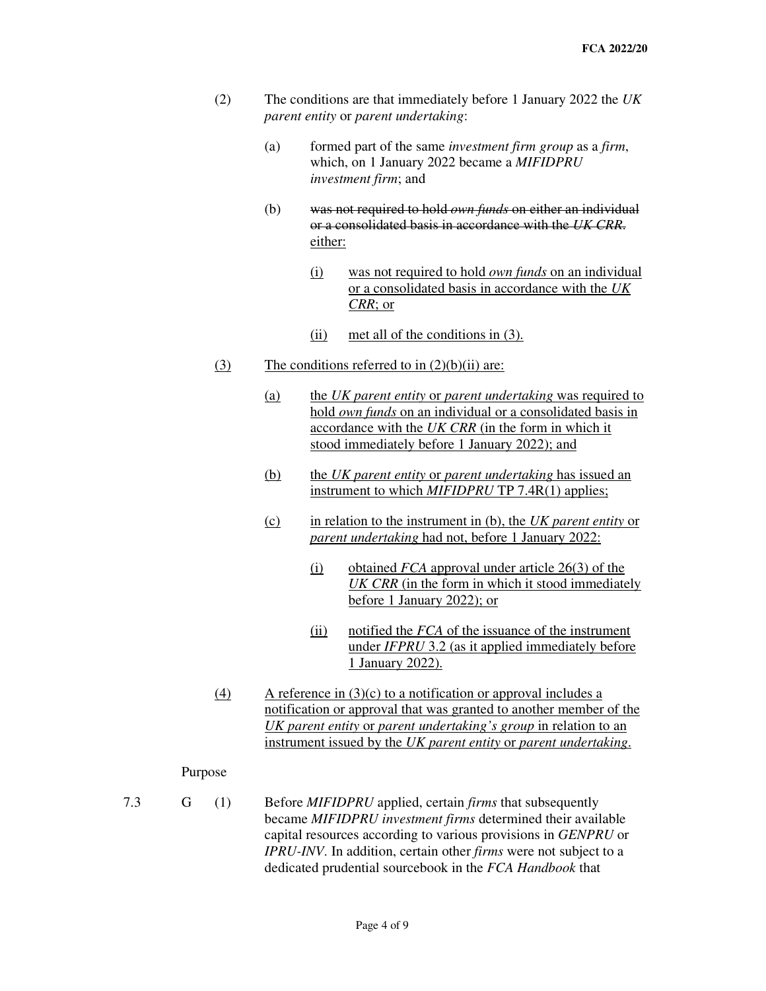- (2) The conditions are that immediately before 1 January 2022 the *UK parent entity* or *parent undertaking*:
	- (a) formed part of the same *investment firm group* as a *firm*, which, on 1 January 2022 became a *MIFIDPRU investment firm*; and
	- (b) was not required to hold *own funds* on either an individual or a consolidated basis in accordance with the *UK CRR*. either:
		- (i) was not required to hold *own funds* on an individual or a consolidated basis in accordance with the *UK CRR*; or
		- (ii) met all of the conditions in (3).
- (3) The conditions referred to in  $(2)(b)(ii)$  are:
	- (a) the *UK parent entity* or *parent undertaking* was required to hold *own funds* on an individual or a consolidated basis in accordance with the *UK CRR* (in the form in which it stood immediately before 1 January 2022); and
	- (b) the *UK parent entity* or *parent undertaking* has issued an instrument to which *MIFIDPRU* TP 7.4R(1) applies;
	- (c) in relation to the instrument in (b), the *UK parent entity* or *parent undertaking* had not, before 1 January 2022:
		- (i) obtained *FCA* approval under article 26(3) of the *UK CRR* (in the form in which it stood immediately before 1 January 2022); or
		- (ii) notified the *FCA* of the issuance of the instrument under *IFPRU* 3.2 (as it applied immediately before 1 January 2022).
- (4) A reference in  $(3)(c)$  to a notification or approval includes a notification or approval that was granted to another member of the *UK parent entity* or *parent undertaking's group* in relation to an instrument issued by the *UK parent entity* or *parent undertaking*.

#### Purpose

7.3 G (1) Before *MIFIDPRU* applied, certain *firms* that subsequently became *MIFIDPRU investment firms* determined their available capital resources according to various provisions in *GENPRU* or *IPRU-INV*. In addition, certain other *firms* were not subject to a dedicated prudential sourcebook in the *FCA Handbook* that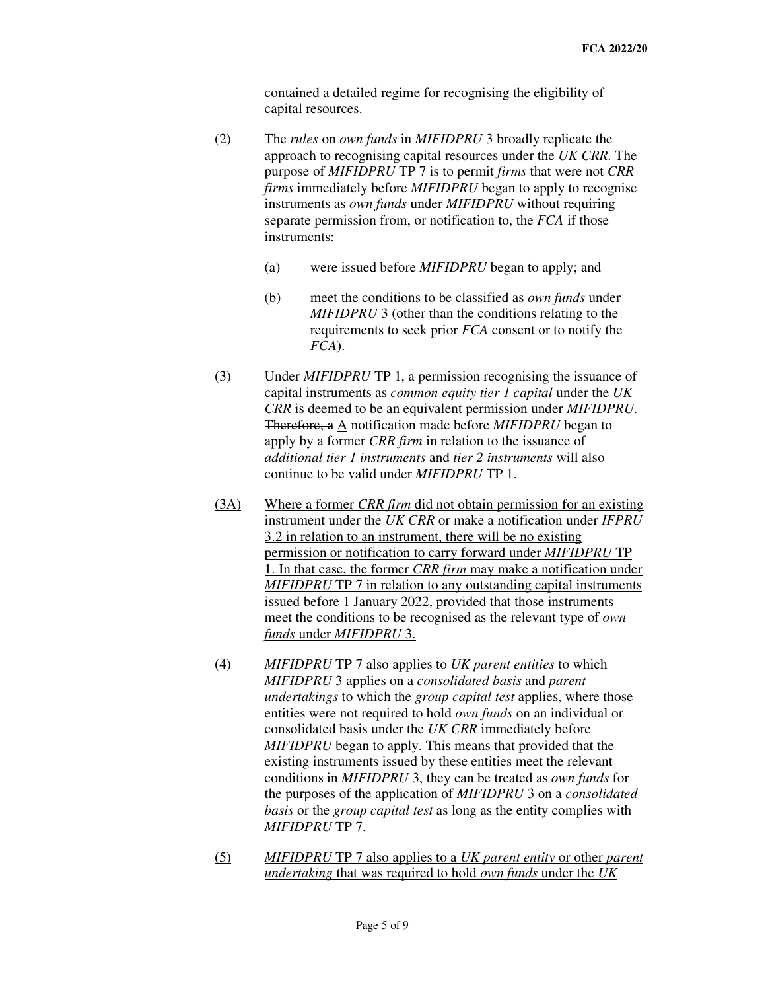contained a detailed regime for recognising the eligibility of capital resources.

- (2) The *rules* on *own funds* in *MIFIDPRU* 3 broadly replicate the approach to recognising capital resources under the *UK CRR*. The purpose of *MIFIDPRU* TP 7 is to permit *firms* that were not *CRR firms* immediately before *MIFIDPRU* began to apply to recognise instruments as *own funds* under *MIFIDPRU* without requiring separate permission from, or notification to, the *FCA* if those instruments:
	- (a) were issued before *MIFIDPRU* began to apply; and
	- (b) meet the conditions to be classified as *own funds* under *MIFIDPRU* 3 (other than the conditions relating to the requirements to seek prior *FCA* consent or to notify the *FCA*).
- (3) Under *MIFIDPRU* TP 1, a permission recognising the issuance of capital instruments as *common equity tier 1 capital* under the *UK CRR* is deemed to be an equivalent permission under *MIFIDPRU*. Therefore, a A notification made before *MIFIDPRU* began to apply by a former *CRR firm* in relation to the issuance of *additional tier 1 instruments* and *tier 2 instruments* will also continue to be valid under *MIFIDPRU* TP 1.
- (3A) Where a former *CRR firm* did not obtain permission for an existing instrument under the *UK CRR* or make a notification under *IFPRU*  3.2 in relation to an instrument, there will be no existing permission or notification to carry forward under *MIFIDPRU* TP 1. In that case, the former *CRR firm* may make a notification under *MIFIDPRU* TP 7 in relation to any outstanding capital instruments issued before 1 January 2022, provided that those instruments meet the conditions to be recognised as the relevant type of *own funds* under *MIFIDPRU* 3.
- (4) *MIFIDPRU* TP 7 also applies to *UK parent entities* to which *MIFIDPRU* 3 applies on a *consolidated basis* and *parent undertakings* to which the *group capital test* applies, where those entities were not required to hold *own funds* on an individual or consolidated basis under the *UK CRR* immediately before *MIFIDPRU* began to apply. This means that provided that the existing instruments issued by these entities meet the relevant conditions in *MIFIDPRU* 3, they can be treated as *own funds* for the purposes of the application of *MIFIDPRU* 3 on a *consolidated basis* or the *group capital test* as long as the entity complies with *MIFIDPRU* TP 7.
- (5) *MIFIDPRU* TP 7 also applies to a *UK parent entity* or other *parent undertaking* that was required to hold *own funds* under the *UK*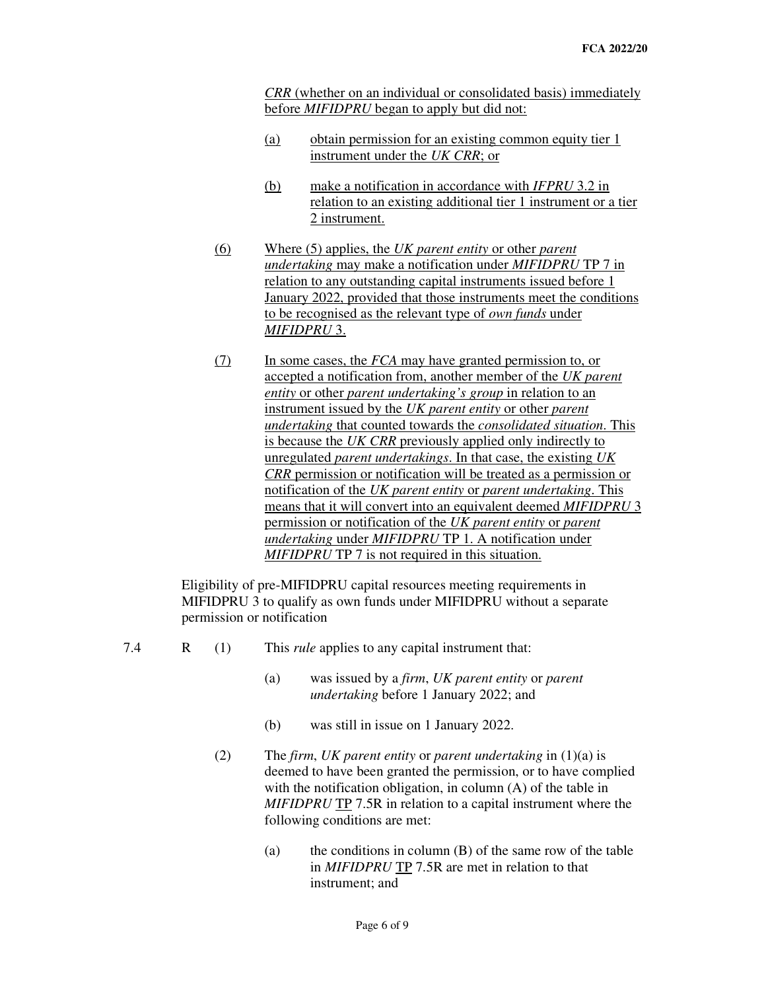*CRR* (whether on an individual or consolidated basis) immediately before *MIFIDPRU* began to apply but did not:

- (a) obtain permission for an existing common equity tier 1 instrument under the *UK CRR*; or
- (b) make a notification in accordance with *IFPRU* 3.2 in relation to an existing additional tier 1 instrument or a tier 2 instrument.
- (6) Where (5) applies, the *UK parent entity* or other *parent undertaking* may make a notification under *MIFIDPRU* TP 7 in relation to any outstanding capital instruments issued before 1 January 2022, provided that those instruments meet the conditions to be recognised as the relevant type of *own funds* under *MIFIDPRU* 3.
- (7) In some cases, the *FCA* may have granted permission to, or accepted a notification from, another member of the *UK parent entity* or other *parent undertaking's group* in relation to an instrument issued by the *UK parent entity* or other *parent undertaking* that counted towards the *consolidated situation*. This is because the *UK CRR* previously applied only indirectly to unregulated *parent undertakings*. In that case, the existing *UK CRR* permission or notification will be treated as a permission or notification of the *UK parent entity* or *parent undertaking*. This means that it will convert into an equivalent deemed *MIFIDPRU* 3 permission or notification of the *UK parent entity* or *parent undertaking* under *MIFIDPRU* TP 1. A notification under *MIFIDPRU* TP 7 is not required in this situation.

 Eligibility of pre-MIFIDPRU capital resources meeting requirements in MIFIDPRU 3 to qualify as own funds under MIFIDPRU without a separate permission or notification

- 
- 7.4 R (1) This *rule* applies to any capital instrument that:
	- (a) was issued by a *firm*, *UK parent entity* or *parent undertaking* before 1 January 2022; and
	- (b) was still in issue on 1 January 2022.
	- (2) The *firm*, *UK parent entity* or *parent undertaking* in (1)(a) is deemed to have been granted the permission, or to have complied with the notification obligation, in column (A) of the table in *MIFIDPRU* TP 7.5R in relation to a capital instrument where the following conditions are met:
		- (a) the conditions in column (B) of the same row of the table in *MIFIDPRU* TP 7.5R are met in relation to that instrument; and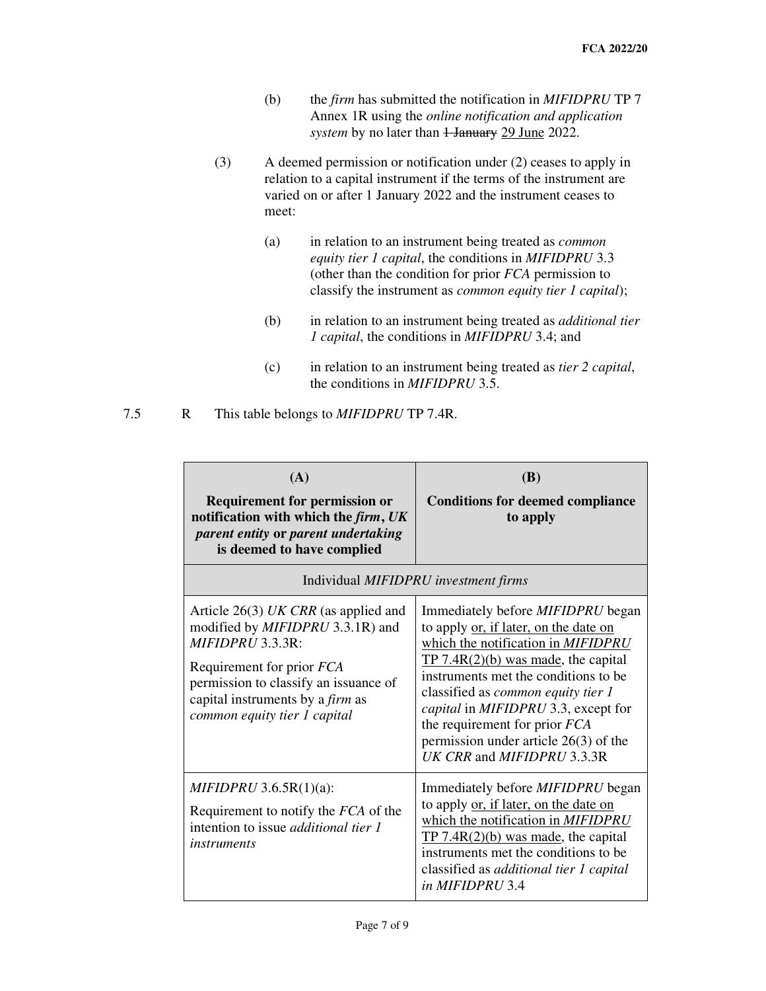- (b) the *firm* has submitted the notification in *MIFIDPRU* TP 7 Annex 1R using the *online notification and application*  system by no later than  $\frac{1 \text{ January } 29 \text{ June } 2022.}{2 \times 10^{10}}$
- (3) A deemed permission or notification under (2) ceases to apply in relation to a capital instrument if the terms of the instrument are varied on or after 1 January 2022 and the instrument ceases to meet:
	- (a) in relation to an instrument being treated as *common equity tier 1 capital*, the conditions in *MIFIDPRU* 3.3 (other than the condition for prior *FCA* permission to classify the instrument as *common equity tier 1 capital*);
	- (b) in relation to an instrument being treated as *additional tier 1 capital*, the conditions in *MIFIDPRU* 3.4; and
	- (c) in relation to an instrument being treated as *tier 2 capital*, the conditions in *MIFIDPRU* 3.5.

# 7.5 R This table belongs to *MIFIDPRU* TP 7.4R.

| (A)<br><b>Requirement for permission or</b><br>notification with which the firm, UK<br>parent entity or parent undertaking<br>is deemed to have complied                                                                                                      | (B)<br><b>Conditions for deemed compliance</b><br>to apply                                                                                                                                                                                                                                                                                                                                             |  |  |  |  |
|---------------------------------------------------------------------------------------------------------------------------------------------------------------------------------------------------------------------------------------------------------------|--------------------------------------------------------------------------------------------------------------------------------------------------------------------------------------------------------------------------------------------------------------------------------------------------------------------------------------------------------------------------------------------------------|--|--|--|--|
| Individual MIFIDPRU investment firms                                                                                                                                                                                                                          |                                                                                                                                                                                                                                                                                                                                                                                                        |  |  |  |  |
| Article $26(3)$ UK CRR (as applied and<br>modified by <i>MIFIDPRU</i> 3.3.1R) and<br>MIFIDPRU 3.3.3R:<br>Requirement for prior <i>FCA</i><br>permission to classify an issuance of<br>capital instruments by a <i>firm</i> as<br>common equity tier 1 capital | Immediately before <i>MIFIDPRU</i> began<br>to apply or, if later, on the date on<br>which the notification in MIFIDPRU<br>$TP 7.4R(2)(b)$ was made, the capital<br>instruments met the conditions to be<br>classified as <i>common equity tier 1</i><br>capital in MIFIDPRU 3.3, except for<br>the requirement for prior FCA<br>permission under article $26(3)$ of the<br>UK CRR and MIFIDPRU 3.3.3R |  |  |  |  |
| MIFIDPRU 3.6.5R(1)(a):<br>Requirement to notify the FCA of the<br>intention to issue <i>additional tier 1</i><br><i>instruments</i>                                                                                                                           | Immediately before MIFIDPRU began<br>to apply or, if later, on the date on<br>which the notification in MIFIDPRU<br>$TP 7.4R(2)(b)$ was made, the capital<br>instruments met the conditions to be<br>classified as <i>additional tier 1 capital</i><br>in MIFIDPRU 3.4                                                                                                                                 |  |  |  |  |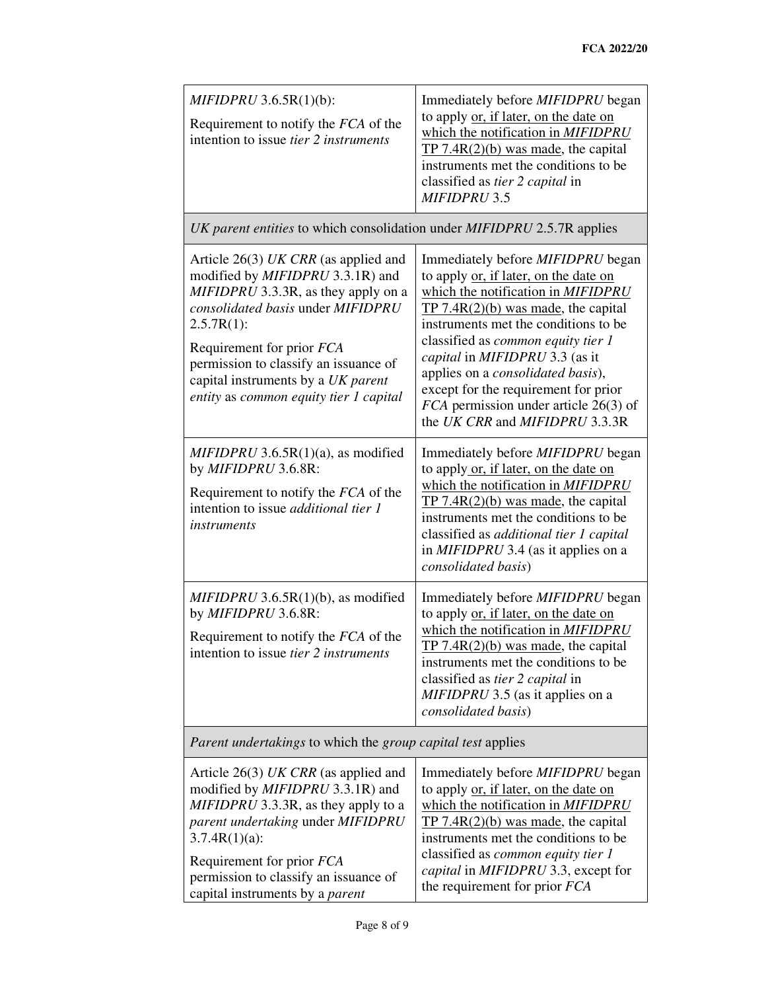| $MIFIDPRU$ 3.6.5 $R(1)(b)$ :<br>Requirement to notify the FCA of the<br>intention to issue <i>tier 2 instruments</i>                                                                                                                                                                            | Immediately before MIFIDPRU began<br>to apply or, if later, on the date on<br>which the notification in MIFIDPRU<br>$TP 7.4R(2)(b)$ was made, the capital<br>instruments met the conditions to be<br>classified as <i>tier 2 capital</i> in<br><b>MIFIDPRU 3.5</b>                                                            |  |  |  |  |
|-------------------------------------------------------------------------------------------------------------------------------------------------------------------------------------------------------------------------------------------------------------------------------------------------|-------------------------------------------------------------------------------------------------------------------------------------------------------------------------------------------------------------------------------------------------------------------------------------------------------------------------------|--|--|--|--|
| UK parent entities to which consolidation under MIFIDPRU 2.5.7R applies                                                                                                                                                                                                                         |                                                                                                                                                                                                                                                                                                                               |  |  |  |  |
| Article $26(3)$ UK CRR (as applied and<br>modified by MIFIDPRU 3.3.1R) and<br>MIFIDPRU 3.3.3R, as they apply on a<br>consolidated basis under MIFIDPRU<br>$2.5.7R(1)$ :                                                                                                                         | Immediately before <i>MIFIDPRU</i> began<br>to apply or, if later, on the date on<br>which the notification in MIFIDPRU<br>TP $7.4R(2)(b)$ was made, the capital<br>instruments met the conditions to be<br>classified as common equity tier 1                                                                                |  |  |  |  |
| Requirement for prior FCA<br>permission to classify an issuance of<br>capital instruments by a UK parent<br>entity as common equity tier 1 capital                                                                                                                                              | capital in MIFIDPRU 3.3 (as it<br>applies on a consolidated basis),<br>except for the requirement for prior<br>$FCA$ permission under article 26(3) of<br>the UK CRR and MIFIDPRU 3.3.3R                                                                                                                                      |  |  |  |  |
| $MIFIDPRU$ 3.6.5R(1)(a), as modified<br>by MIFIDPRU 3.6.8R:<br>Requirement to notify the FCA of the<br>intention to issue <i>additional tier 1</i><br><i>instruments</i>                                                                                                                        | Immediately before <i>MIFIDPRU</i> began<br>to apply or, if later, on the date on<br>which the notification in MIFIDPRU<br>TP $7.4R(2)(b)$ was made, the capital<br>instruments met the conditions to be<br>classified as additional tier 1 capital<br>in MIFIDPRU 3.4 (as it applies on a<br>consolidated basis)             |  |  |  |  |
| $MIFIDPRU$ 3.6.5R(1)(b), as modified<br>by MIFIDPRU 3.6.8R:<br>Requirement to notify the FCA of the<br>intention to issue <i>tier 2 instruments</i>                                                                                                                                             | Immediately before MIFIDPRU began<br>to apply or, if later, on the date on<br>which the notification in MIFIDPRU<br>TP $7.4R(2)(b)$ was made, the capital<br>instruments met the conditions to be<br>classified as tier 2 capital in<br><i>MIFIDPRU</i> 3.5 (as it applies on a<br>consolidated basis)                        |  |  |  |  |
| <i>Parent undertakings</i> to which the <i>group capital test</i> applies                                                                                                                                                                                                                       |                                                                                                                                                                                                                                                                                                                               |  |  |  |  |
| Article 26(3) UK CRR (as applied and<br>modified by <i>MIFIDPRU</i> 3.3.1R) and<br>MIFIDPRU 3.3.3R, as they apply to a<br>parent undertaking under MIFIDPRU<br>$3.7.4R(1)(a)$ :<br>Requirement for prior FCA<br>permission to classify an issuance of<br>capital instruments by a <i>parent</i> | Immediately before <i>MIFIDPRU</i> began<br>to apply or, if later, on the date on<br>which the notification in MIFIDPRU<br>$TP 7.4R(2)(b)$ was made, the capital<br>instruments met the conditions to be<br>classified as <i>common equity tier 1</i><br>capital in MIFIDPRU 3.3, except for<br>the requirement for prior FCA |  |  |  |  |